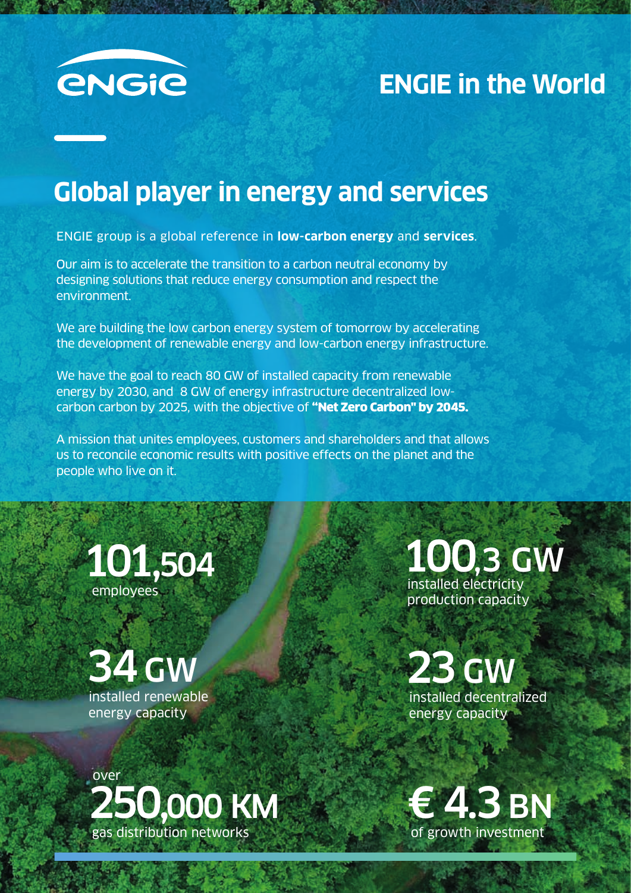

## **ENGIE in the World**

# **Global player in energy and services**

ENGIE group is a global reference in **low-carbon energy** and **services**.

Our aim is to accelerate the transition to a carbon neutral economy by designing solutions that reduce energy consumption and respect the environment.

We are building the low carbon energy system of tomorrow by accelerating the development of renewable energy and low-carbon energy infrastructure.

We have the goal to reach 80 GW of installed capacity from renewable energy by 2030, and 8 GW of energy infrastructure decentralized lowcarbon carbon by 2025, with the objective of "Net Zero Carbon" by 2045.

A mission that unites employees, customers and shareholders and that allows us to reconcile economic results with positive effects on the planet and the people who live on it.

101,504 employees



100,3 GW

installed electricity production capacity

23 GW installed decentralized energy capacity

250,000 KM gas distribution networks over

€ 4.3 BN of growth investment